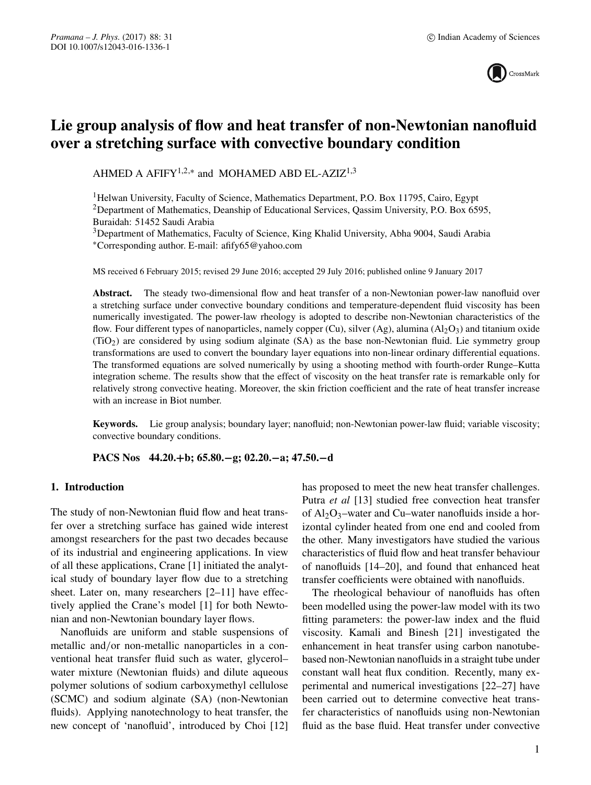

# **Lie group analysis of flow and heat transfer of non-Newtonian nanofluid over a stretching surface with convective boundary condition**

AHMED A AFIFY<sup>1,2,\*</sup> and MOHAMED ABD EL-AZIZ<sup>1,3</sup>

<sup>1</sup>Helwan University, Faculty of Science, Mathematics Department, P.O. Box 11795, Cairo, Egypt <sup>2</sup>Department of Mathematics, Deanship of Educational Services, Qassim University, P.O. Box 6595, Buraidah: 51452 Saudi Arabia

3Department of Mathematics, Faculty of Science, King Khalid University, Abha 9004, Saudi Arabia ∗Corresponding author. E-mail: afify65@yahoo.com

MS received 6 February 2015; revised 29 June 2016; accepted 29 July 2016; published online 9 January 2017

**Abstract.** The steady two-dimensional flow and heat transfer of a non-Newtonian power-law nanofluid over a stretching surface under convective boundary conditions and temperature-dependent fluid viscosity has been numerically investigated. The power-law rheology is adopted to describe non-Newtonian characteristics of the flow. Four different types of nanoparticles, namely copper (Cu), silver (Ag), alumina (Al<sub>2</sub>O<sub>3</sub>) and titanium oxide (TiO2) are considered by using sodium alginate (SA) as the base non-Newtonian fluid. Lie symmetry group transformations are used to convert the boundary layer equations into non-linear ordinary differential equations. The transformed equations are solved numerically by using a shooting method with fourth-order Runge–Kutta integration scheme. The results show that the effect of viscosity on the heat transfer rate is remarkable only for relatively strong convective heating. Moreover, the skin friction coefficient and the rate of heat transfer increase with an increase in Biot number.

**Keywords.** Lie group analysis; boundary layer; nanofluid; non-Newtonian power-law fluid; variable viscosity; convective boundary conditions.

**PACS Nos 44.20.+b; 65.80.−g; 02.20.−a; 47.50.−d**

# **1. Introduction**

The study of non-Newtonian fluid flow and heat transfer over a stretching surface has gained wide interest amongst researchers for the past two decades because of its industrial and engineering applications. In view of all these applications, Crane [1] initiated the analytical study of boundary layer flow due to a stretching sheet. Later on, many researchers [2–11] have effectively applied the Crane's model [1] for both Newtonian and non-Newtonian boundary layer flows.

Nanofluids are uniform and stable suspensions of metallic and/or non-metallic nanoparticles in a conventional heat transfer fluid such as water, glycerol– water mixture (Newtonian fluids) and dilute aqueous polymer solutions of sodium carboxymethyl cellulose (SCMC) and sodium alginate (SA) (non-Newtonian fluids). Applying nanotechnology to heat transfer, the new concept of 'nanofluid', introduced by Choi [12] has proposed to meet the new heat transfer challenges. Putra *et al* [13] studied free convection heat transfer of  $Al_2O_3$ -water and Cu-water nanofluids inside a horizontal cylinder heated from one end and cooled from the other. Many investigators have studied the various characteristics of fluid flow and heat transfer behaviour of nanofluids [14–20], and found that enhanced heat transfer coefficients were obtained with nanofluids.

The rheological behaviour of nanofluids has often been modelled using the power-law model with its two fitting parameters: the power-law index and the fluid viscosity. Kamali and Binesh [21] investigated the enhancement in heat transfer using carbon nanotubebased non-Newtonian nanofluids in a straight tube under constant wall heat flux condition. Recently, many experimental and numerical investigations [22–27] have been carried out to determine convective heat transfer characteristics of nanofluids using non-Newtonian fluid as the base fluid. Heat transfer under convective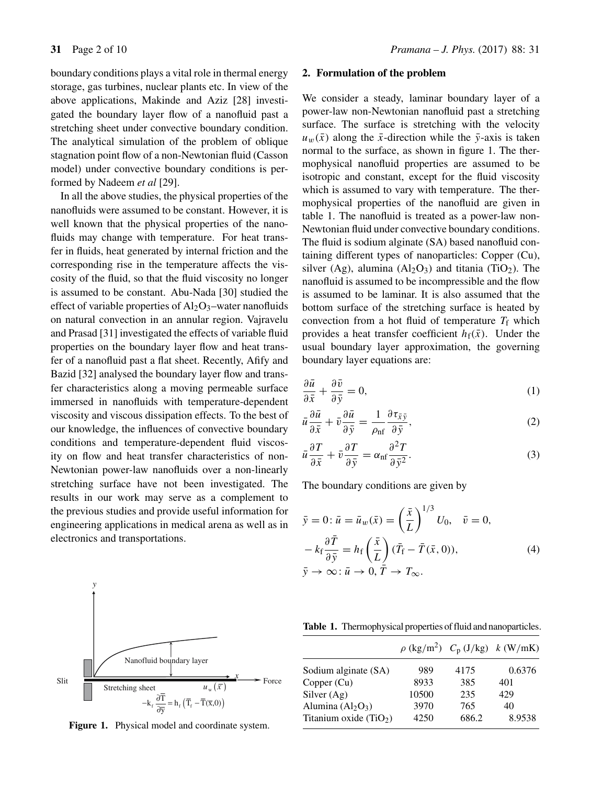boundary conditions plays a vital role in thermal energy storage, gas turbines, nuclear plants etc. In view of the above applications, Makinde and Aziz [28] investigated the boundary layer flow of a nanofluid past a stretching sheet under convective boundary condition. The analytical simulation of the problem of oblique stagnation point flow of a non-Newtonian fluid (Casson model) under convective boundary conditions is performed by Nadeem *et al* [29].

In all the above studies, the physical properties of the nanofluids were assumed to be constant. However, it is well known that the physical properties of the nanofluids may change with temperature. For heat transfer in fluids, heat generated by internal friction and the corresponding rise in the temperature affects the viscosity of the fluid, so that the fluid viscosity no longer is assumed to be constant. Abu-Nada [30] studied the effect of variable properties of  $Al_2O_3$ -water nanofluids on natural convection in an annular region. Vajravelu and Prasad [31] investigated the effects of variable fluid properties on the boundary layer flow and heat transfer of a nanofluid past a flat sheet. Recently, Afify and Bazid [32] analysed the boundary layer flow and transfer characteristics along a moving permeable surface immersed in nanofluids with temperature-dependent viscosity and viscous dissipation effects. To the best of our knowledge, the influences of convective boundary conditions and temperature-dependent fluid viscosity on flow and heat transfer characteristics of non-Newtonian power-law nanofluids over a non-linearly stretching surface have not been investigated. The results in our work may serve as a complement to the previous studies and provide useful information for engineering applications in medical arena as well as in electronics and transportations.



**Figure 1.** Physical model and coordinate system.

### **2. Formulation of the problem**

We consider a steady, laminar boundary layer of a power-law non-Newtonian nanofluid past a stretching surface. The surface is stretching with the velocity  $u_w(\bar{x})$  along the  $\bar{x}$ -direction while the  $\bar{y}$ -axis is taken normal to the surface, as shown in figure 1. The thermophysical nanofluid properties are assumed to be isotropic and constant, except for the fluid viscosity which is assumed to vary with temperature. The thermophysical properties of the nanofluid are given in table 1. The nanofluid is treated as a power-law non-Newtonian fluid under convective boundary conditions. The fluid is sodium alginate (SA) based nanofluid containing different types of nanoparticles: Copper (Cu), silver (Ag), alumina (Al<sub>2</sub>O<sub>3</sub>) and titania (TiO<sub>2</sub>). The nanofluid is assumed to be incompressible and the flow is assumed to be laminar. It is also assumed that the bottom surface of the stretching surface is heated by convection from a hot fluid of temperature  $T_f$  which provides a heat transfer coefficient  $h_f(\bar{x})$ . Under the usual boundary layer approximation, the governing boundary layer equations are:

$$
\frac{\partial \bar{u}}{\partial \bar{x}} + \frac{\partial \bar{v}}{\partial \bar{y}} = 0,\tag{1}
$$

$$
\bar{u}\frac{\partial\bar{u}}{\partial\bar{x}} + \bar{v}\frac{\partial\bar{u}}{\partial\bar{y}} = \frac{1}{\rho_{\rm nf}}\frac{\partial\tau_{\bar{x}\bar{y}}}{\partial\bar{y}},\tag{2}
$$

$$
\bar{u}\frac{\partial T}{\partial \bar{x}} + \bar{v}\frac{\partial T}{\partial \bar{y}} = \alpha_{\rm nf} \frac{\partial^2 T}{\partial \bar{y}^2}.
$$
 (3)

The boundary conditions are given by

$$
\bar{y} = 0: \bar{u} = \bar{u}_w(\bar{x}) = \left(\frac{\bar{x}}{L}\right)^{1/3} U_0, \quad \bar{v} = 0,
$$
  

$$
-k_f \frac{\partial \bar{T}}{\partial \bar{y}} = h_f\left(\frac{\bar{x}}{L}\right) (\bar{T}_f - \bar{T}(\bar{x}, 0)),
$$
  

$$
\bar{y} \to \infty: \bar{u} \to 0, \bar{T} \to T_\infty.
$$
 (4)

**Table 1.** Thermophysical properties of fluid and nanoparticles.

|                         |       |       | $\rho$ (kg/m <sup>2</sup> ) $C_p$ (J/kg) $k$ (W/mK) |
|-------------------------|-------|-------|-----------------------------------------------------|
| Sodium alginate (SA)    | 989   | 4175  | 0.6376                                              |
| Copper (Cu)             | 8933  | 385   | 401                                                 |
| Silver $(Ag)$           | 10500 | 235   | 429                                                 |
| Alumina $(Al2O3)$       | 3970  | 765   | 40                                                  |
| Titanium oxide $(TiO2)$ | 4250  | 686.2 | 8.9538                                              |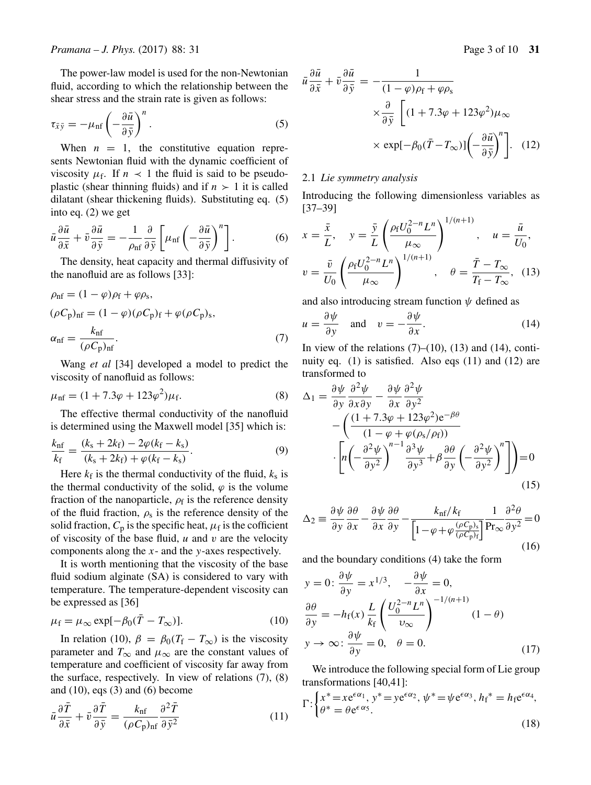The power-law model is used for the non-Newtonian fluid, according to which the relationship between the shear stress and the strain rate is given as follows:

$$
\tau_{\bar{x}\bar{y}} = -\mu_{\rm nf} \left( -\frac{\partial \bar{u}}{\partial \bar{y}} \right)^n.
$$
 (5)

When  $n = 1$ , the constitutive equation represents Newtonian fluid with the dynamic coefficient of viscosity  $\mu_f$ . If  $n \leq 1$  the fluid is said to be pseudoplastic (shear thinning fluids) and if  $n > 1$  it is called dilatant (shear thickening fluids). Substituting eq. (5) into eq. (2) we get

$$
\bar{u}\frac{\partial\bar{u}}{\partial\bar{x}} + \bar{v}\frac{\partial\bar{u}}{\partial\bar{y}} = -\frac{1}{\rho_{\rm nf}}\frac{\partial}{\partial\bar{y}}\left[\mu_{\rm nf}\left(-\frac{\partial\bar{u}}{\partial\bar{y}}\right)^n\right].\tag{6}
$$

The density, heat capacity and thermal diffusivity of the nanofluid are as follows [33]:

$$
\rho_{\rm nf} = (1 - \varphi)\rho_{\rm f} + \varphi\rho_{\rm s},
$$
  
\n
$$
(\rho C_{\rm p})_{\rm nf} = (1 - \varphi)(\rho C_{\rm p})_{\rm f} + \varphi(\rho C_{\rm p})_{\rm s},
$$
  
\n
$$
\alpha_{\rm nf} = \frac{k_{\rm nf}}{(\rho C_{\rm p})_{\rm nf}}.
$$
\n(7)

Wang *et al* [34] developed a model to predict the viscosity of nanofluid as follows:

$$
\mu_{\rm nf} = (1 + 7.3\varphi + 123\varphi^2)\mu_{\rm f}.\tag{8}
$$

The effective thermal conductivity of the nanofluid is determined using the Maxwell model [35] which is:

$$
\frac{k_{\rm nf}}{k_{\rm f}} = \frac{(k_{\rm s} + 2k_{\rm f}) - 2\varphi(k_{\rm f} - k_{\rm s})}{(k_{\rm s} + 2k_{\rm f}) + \varphi(k_{\rm f} - k_{\rm s})}.
$$
(9)

Here  $k_f$  is the thermal conductivity of the fluid,  $k_s$  is the thermal conductivity of the solid,  $\varphi$  is the volume fraction of the nanoparticle,  $\rho_f$  is the reference density of the fluid fraction,  $\rho_s$  is the reference density of the solid fraction,  $C_p$  is the specific heat,  $\mu_f$  is the cofficient of viscosity of the base fluid,  $u$  and  $v$  are the velocity components along the x- and the y-axes respectively.

It is worth mentioning that the viscosity of the base fluid sodium alginate (SA) is considered to vary with temperature. The temperature-dependent viscosity can be expressed as [36]

$$
\mu_{\rm f} = \mu_{\infty} \exp[-\beta_0(\bar{T} - T_{\infty})]. \tag{10}
$$

In relation (10),  $\beta = \beta_0 (T_f - T_\infty)$  is the viscosity parameter and  $T_{\infty}$  and  $\mu_{\infty}$  are the constant values of temperature and coefficient of viscosity far away from the surface, respectively. In view of relations (7), (8) and  $(10)$ , eqs  $(3)$  and  $(6)$  become

$$
\bar{u}\frac{\partial\bar{T}}{\partial\bar{x}} + \bar{v}\frac{\partial\bar{T}}{\partial\bar{y}} = \frac{k_{\rm nf}}{(\rho C_{\rm p})_{\rm nf}}\frac{\partial^2\bar{T}}{\partial\bar{y}^2}
$$
(11)

$$
\bar{u}\frac{\partial \bar{u}}{\partial \bar{x}} + \bar{v}\frac{\partial \bar{u}}{\partial \bar{y}} = -\frac{1}{(1-\varphi)\rho_f + \varphi\rho_s}
$$

$$
\times \frac{\partial}{\partial \bar{y}} \left[ (1+7.3\varphi + 123\varphi^2)\mu_\infty \right.
$$

$$
\times \exp[-\beta_0(\bar{T} - T_\infty)] \left( -\frac{\partial \bar{u}}{\partial \bar{y}} \right)^n \right]. \quad (12)
$$

# 2.1 *Lie symmetry analysis*

Introducing the following dimensionless variables as [37–39]  $1/(m+1)$ 

$$
x = \frac{\bar{x}}{L}, \quad y = \frac{\bar{y}}{L} \left( \frac{\rho_f U_0^{2-n} L^n}{\mu_\infty} \right)^{1/(n+1)}, \quad u = \frac{\bar{u}}{U_0},
$$

$$
v = \frac{\bar{v}}{U_0} \left( \frac{\rho_f U_0^{2-n} L^n}{\mu_\infty} \right)^{1/(n+1)}, \quad \theta = \frac{\bar{T} - T_\infty}{T_f - T_\infty}, \quad (13)
$$

and also introducing stream function  $\psi$  defined as

$$
u = \frac{\partial \psi}{\partial y} \quad \text{and} \quad v = -\frac{\partial \psi}{\partial x}.
$$
 (14)

In view of the relations  $(7)$ – $(10)$ ,  $(13)$  and  $(14)$ , continuity eq. (1) is satisfied. Also eqs (11) and (12) are transformed to

$$
\Delta_1 = \frac{\partial \psi}{\partial y} \frac{\partial^2 \psi}{\partial x \partial y} - \frac{\partial \psi}{\partial x} \frac{\partial^2 \psi}{\partial y^2} \n- \left( \frac{(1+7.3\varphi + 123\varphi^2) e^{-\beta \theta}}{(1-\varphi+\varphi(\rho_s/\rho_f))} \right) \n\cdot \left[ n \left( -\frac{\partial^2 \psi}{\partial y^2} \right)^{n-1} \frac{\partial^3 \psi}{\partial y^3} + \beta \frac{\partial \theta}{\partial y} \left( -\frac{\partial^2 \psi}{\partial y^2} \right)^n \right] = 0
$$
\n(15)

$$
\Delta_2 \equiv \frac{\partial \psi}{\partial y} \frac{\partial \theta}{\partial x} - \frac{\partial \psi}{\partial x} \frac{\partial \theta}{\partial y} - \frac{k_{\rm nf}/k_{\rm f}}{\left[1 - \varphi + \varphi \frac{(\rho C_{\rm p})_s}{(\rho C_{\rm p})_{\rm f}}\right]} \frac{1}{\Pr_{\infty}} \frac{\partial^2 \theta}{\partial y^2} = 0
$$
\n(16)

and the boundary conditions (4) take the form

$$
y = 0: \frac{\partial \psi}{\partial y} = x^{1/3}, \quad -\frac{\partial \psi}{\partial x} = 0,
$$
  

$$
\frac{\partial \theta}{\partial y} = -h_{f}(x) \frac{L}{k_{f}} \left( \frac{U_{0}^{2-n} L^{n}}{\nu_{\infty}} \right)^{-1/(n+1)} (1 - \theta)
$$
  

$$
y \to \infty: \frac{\partial \psi}{\partial y} = 0, \quad \theta = 0.
$$
 (17)

We introduce the following special form of Lie group transformations [40,41]:

$$
\Gamma: \begin{cases} x^* = x e^{\epsilon \alpha_1}, y^* = y e^{\epsilon \alpha_2}, \psi^* = \psi e^{\epsilon \alpha_3}, h_f^* = h_f e^{\epsilon \alpha_4}, \\ \theta^* = \theta e^{\epsilon \alpha_5}. \end{cases}
$$
\n(18)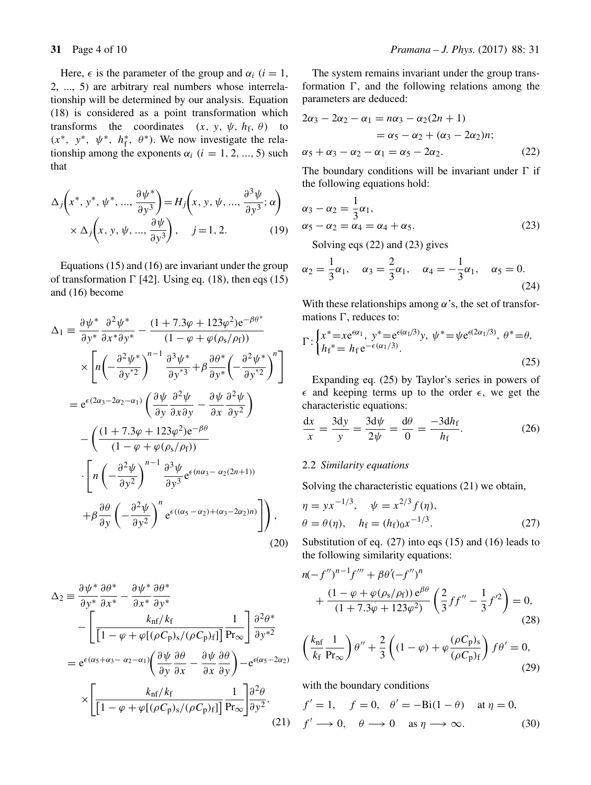Here,  $\epsilon$  is the parameter of the group and  $\alpha_i$  (*i* = 1, 2, ..., 5) are arbitrary real numbers whose interrelationship will be determined by our analysis. Equation (18) is considered as a point transformation which transforms the coordinates  $(x, y, \psi, h_f, \theta)$  to  $(x^*, y^*, \psi^*, h_f^*, \theta^*)$ . We now investigate the relationship among the exponents  $\alpha_i$  ( $i = 1, 2, ..., 5$ ) such that

$$
\Delta_j \left( x^*, y^*, \psi^*, \dots, \frac{\partial \psi^*}{\partial y^3} \right) = H_j \left( x, y, \psi, \dots, \frac{\partial^3 \psi}{\partial y^3}; \alpha \right) \times \Delta_j \left( x, y, \psi, \dots, \frac{\partial \psi}{\partial y^3} \right), \quad j = 1, 2. \tag{19}
$$

Equations (15) and (16) are invariant under the group of transformation  $\Gamma$  [42]. Using eq. (18), then eqs (15) and (16) become

$$
\Delta_{1} = \frac{\partial \psi^{*}}{\partial y^{*}} \frac{\partial^{2} \psi^{*}}{\partial x^{*} \partial y^{*}} - \frac{(1 + 7.3\varphi + 123\varphi^{2})e^{-\beta \theta^{*}}}{(1 - \varphi + \varphi(\rho_{s}/\rho_{f}))}
$$
  
\n
$$
\times \left[ n \left( -\frac{\partial^{2} \psi^{*}}{\partial y^{*2}} \right)^{n-1} \frac{\partial^{3} \psi^{*}}{\partial y^{*3}} + \beta \frac{\partial \theta^{*}}{\partial y^{*}} \left( -\frac{\partial^{2} \psi^{*}}{\partial y^{*2}} \right)^{n} \right]
$$
  
\n
$$
= e^{\epsilon (2\alpha_{3} - 2\alpha_{2} - \alpha_{1})} \left( \frac{\partial \psi}{\partial y} \frac{\partial^{2} \psi}{\partial x \partial y} - \frac{\partial \psi}{\partial x} \frac{\partial^{2} \psi}{\partial y^{2}} \right)
$$
  
\n
$$
- \left( \frac{(1 + 7.3\varphi + 123\varphi^{2})e^{-\beta \theta}}{(1 - \varphi + \varphi(\rho_{s}/\rho_{f}))} \right)
$$
  
\n
$$
\cdot \left[ n \left( -\frac{\partial^{2} \psi}{\partial y^{2}} \right)^{n-1} \frac{\partial^{3} \psi}{\partial y^{3}} e^{\epsilon (n\alpha_{3} - \alpha_{2}(2n+1))} \right]
$$
  
\n
$$
+ \beta \frac{\partial \theta}{\partial y} \left( -\frac{\partial^{2} \psi}{\partial y^{2}} \right)^{n} e^{\epsilon ((\alpha_{5} - \alpha_{2}) + (\alpha_{3} - 2\alpha_{2})n)} \right),
$$
  
\n(20)

$$
\Delta_2 = \frac{\partial \psi^*}{\partial y^*} \frac{\partial \theta^*}{\partial x^*} - \frac{\partial \psi^*}{\partial x^*} \frac{\partial \theta^*}{\partial y^*} \n- \left[ \frac{k_{\text{nf}}/k_{\text{f}}}{\left[1 - \varphi + \varphi[(\rho C_{\text{p}})_s / (\rho C_{\text{p}})_f] \right]} \frac{1}{\text{Pr}_{\infty}} \right] \frac{\partial^2 \theta^*}{\partial y^{*2}} \n= e^{\epsilon(\alpha_5 + \alpha_3 - \alpha_2 - \alpha_1)} \left( \frac{\partial \psi}{\partial y} \frac{\partial \theta}{\partial x} - \frac{\partial \psi}{\partial x} \frac{\partial \theta}{\partial y} \right) - e^{\epsilon(\alpha_5 - 2\alpha_2)} \n\times \left[ \frac{k_{\text{nf}}/k_{\text{f}}}{\left[1 - \varphi + \varphi[(\rho C_{\text{p}})_s / (\rho C_{\text{p}})_f] \right]} \frac{1}{\text{Pr}_{\infty}} \right] \frac{\partial^2 \theta}{\partial y^2}.
$$
\n(21)

The system remains invariant under the group transformation  $\Gamma$ , and the following relations among the parameters are deduced:

$$
2\alpha_3 - 2\alpha_2 - \alpha_1 = n\alpha_3 - \alpha_2(2n + 1) = \alpha_5 - \alpha_2 + (\alpha_3 - 2\alpha_2)n; \alpha_5 + \alpha_3 - \alpha_2 - \alpha_1 = \alpha_5 - 2\alpha_2.
$$
 (22)

The boundary conditions will be invariant under  $\Gamma$  if the following equations hold:

$$
\alpha_3 - \alpha_2 = \frac{1}{3}\alpha_1,\n\alpha_5 - \alpha_2 = \alpha_4 = \alpha_4 + \alpha_5.
$$
\n(23)

Solving eqs (22) and (23) gives

$$
\alpha_2 = \frac{1}{3}\alpha_1, \quad \alpha_3 = \frac{2}{3}\alpha_1, \quad \alpha_4 = -\frac{1}{3}\alpha_1, \quad \alpha_5 = 0.
$$
\n(24)

With these relationships among  $\alpha$ 's, the set of transformations  $\Gamma$ , reduces to:

$$
\Gamma: \begin{cases} x^* = x e^{\epsilon \alpha_1}, & y^* = e^{\epsilon (\alpha_1/3)} y, \ \psi^* = \psi e^{\epsilon (2\alpha_1/3)}, & \ \theta^* = \theta, \\ h_f^* = h_f e^{-\epsilon (\alpha_1/3)}. \end{cases} \tag{25}
$$

Expanding eq. (25) by Taylor's series in powers of  $\epsilon$  and keeping terms up to the order  $\epsilon$ , we get the characteristic equations:

$$
\frac{\mathrm{d}x}{x} = \frac{3\mathrm{d}y}{y} = \frac{3\mathrm{d}\psi}{2\psi} = \frac{\mathrm{d}\theta}{0} = \frac{-3\mathrm{d}h_{\mathrm{f}}}{h_{\mathrm{f}}}.\tag{26}
$$

# 2.2 *Similarity equations*

Solving the characteristic equations (21) we obtain,

$$
\eta = yx^{-1/3}, \quad \psi = x^{2/3} f(\eta), \n\theta = \theta(\eta), \quad h_f = (h_f)_0 x^{-1/3}.
$$
\n(27)

Substitution of eq. (27) into eqs (15) and (16) leads to the following similarity equations:

$$
n(-f'')^{n-1}f''' + \beta \theta'(-f'')^n
$$
  
+ 
$$
\frac{(1 - \varphi + \varphi(\rho_s/\rho_f))e^{\beta \theta}}{(1 + 7.3\varphi + 123\varphi^2)} \left(\frac{2}{3}ff'' - \frac{1}{3}f'^2\right) = 0,
$$
 (28)

$$
\left(\frac{k_{\rm nf}}{k_{\rm f}}\frac{1}{\Pr_{\infty}}\right)\theta'' + \frac{2}{3}\left((1-\varphi) + \varphi\frac{(\rho C_{\rm p})_s}{(\rho C_{\rm p})_{\rm f}}\right)f\theta' = 0,
$$
\n(29)

with the boundary conditions

$$
f' = 1, \quad f = 0, \quad \theta' = -\text{Bi}(1 - \theta) \quad \text{at } \eta = 0,
$$
  

$$
f' \longrightarrow 0, \quad \theta \longrightarrow 0 \quad \text{as } \eta \longrightarrow \infty.
$$
 (30)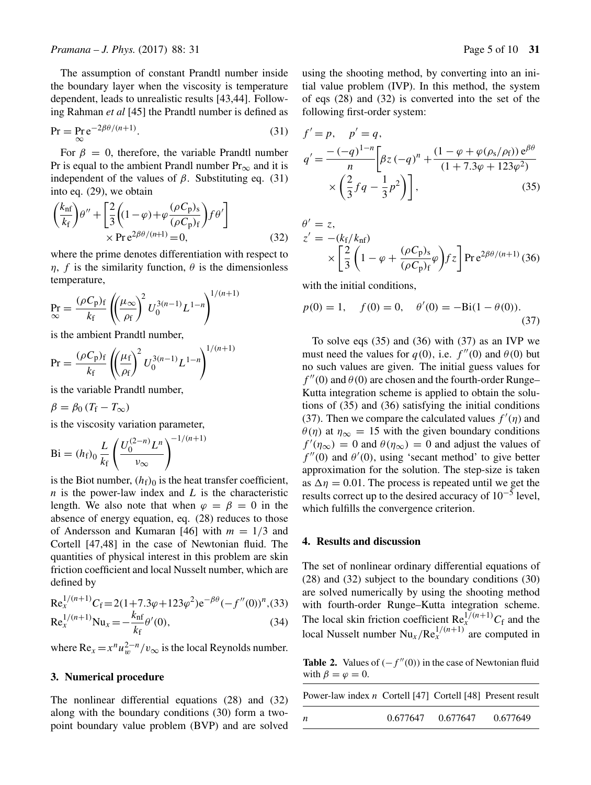The assumption of constant Prandtl number inside the boundary layer when the viscosity is temperature dependent, leads to unrealistic results [43,44]. Following Rahman *et al* [45] the Prandtl number is defined as

$$
Pr = \Pr_{\infty} e^{-2\beta\theta/(n+1)}.
$$
 (31)

For  $\beta = 0$ , therefore, the variable Prandtl number Pr is equal to the ambient Prandl number  $Pr_{\infty}$  and it is independent of the values of  $\beta$ . Substituting eq. (31) into eq. (29), we obtain

$$
\left(\frac{k_{\rm nf}}{k_{\rm f}}\right)\theta'' + \left[\frac{2}{3}\left((1-\varphi) + \varphi \frac{(\rho C_{\rm p})_s}{(\rho C_{\rm p})_{\rm f}}\right)f\theta'\right] \times \text{Pre}^{2\beta\theta/(n+1)} = 0,
$$
\n(32)

where the prime denotes differentiation with respect to  $\eta$ , f is the similarity function,  $\theta$  is the dimensionless temperature,

$$
\Pr_{\infty} = \frac{(\rho C_{\rm p})_{\rm f}}{k_{\rm f}} \left( \left(\frac{\mu_{\infty}}{\rho_{\rm f}}\right)^2 U_0^{3(n-1)} L^{1-n} \right)^{1/(n+1)}
$$

is the ambient Prandtl number,

$$
Pr = \frac{(\rho C_p)_f}{k_f} \left( \left( \frac{\mu_f}{\rho_f} \right)^2 U_0^{3(n-1)} L^{1-n} \right)^{1/(n+1)}
$$

is the variable Prandtl number,

$$
\beta = \beta_0 (T_{\rm f} - T_{\infty})
$$

is the viscosity variation parameter,

$$
Bi = (h_f)_0 \frac{L}{k_f} \left( \frac{U_0^{(2-n)} L^n}{\nu_{\infty}} \right)^{-1/(n+1)}
$$

is the Biot number,  $(h<sub>f</sub>)<sub>0</sub>$  is the heat transfer coefficient,  $n$  is the power-law index and  $L$  is the characteristic length. We also note that when  $\varphi = \beta = 0$  in the absence of energy equation, eq. (28) reduces to those of Andersson and Kumaran [46] with  $m = 1/3$  and Cortell [47,48] in the case of Newtonian fluid. The quantities of physical interest in this problem are skin friction coefficient and local Nusselt number, which are defined by

$$
Re_x^{1/(n+1)}C_f = 2(1+7.3\varphi+123\varphi^2)e^{-\beta\theta}(-f''(0))^n,(33)
$$
  
\n
$$
Re_x^{1/(n+1)}Nu_x = -\frac{k_{\text{nf}}}{k_f}\theta'(0),
$$
\n(34)

where  $\text{Re}_x = x^n u_w^{2-n} / v_\infty$  is the local Reynolds number.

### **3. Numerical procedure**

The nonlinear differential equations (28) and (32) along with the boundary conditions (30) form a twopoint boundary value problem (BVP) and are solved using the shooting method, by converting into an initial value problem (IVP). In this method, the system of eqs (28) and (32) is converted into the set of the following first-order system:

$$
f' = p, \quad p' = q,
$$
  
\n
$$
q' = \frac{-(-q)^{1-n}}{n} \left[ \beta z (-q)^n + \frac{(1 - \varphi + \varphi(\rho_s/\rho_f)) e^{\beta \theta}}{(1 + 7.3\varphi + 123\varphi^2)} \right]
$$
  
\n
$$
\times \left( \frac{2}{3} f q - \frac{1}{3} p^2 \right) ,
$$
\n(35)

$$
\theta' = z,\n z' = -(k_f/k_{\rm nf})\n\times \left[\frac{2}{3} \left(1 - \varphi + \frac{(\rho C_{\rm p})_s}{(\rho C_{\rm p})_{\rm f}} \varphi\right) f z\right] \Pr e^{2\beta \theta/(n+1)} (36)
$$

with the initial conditions,

$$
p(0) = 1
$$
,  $f(0) = 0$ ,  $\theta'(0) = -\text{Bi}(1 - \theta(0))$ . (37)

To solve eqs (35) and (36) with (37) as an IVP we must need the values for  $q(0)$ , i.e.  $f''(0)$  and  $\theta(0)$  but no such values are given. The initial guess values for  $f''(0)$  and  $\theta(0)$  are chosen and the fourth-order Runge– Kutta integration scheme is applied to obtain the solutions of (35) and (36) satisfying the initial conditions (37). Then we compare the calculated values  $f'(\eta)$  and  $\theta(\eta)$  at  $\eta_{\infty} = 15$  with the given boundary conditions  $f'(\eta_{\infty}) = 0$  and  $\theta(\eta_{\infty}) = 0$  and adjust the values of  $f''(0)$  and  $\theta'(0)$ , using 'secant method' to give better approximation for the solution. The step-size is taken as  $\Delta \eta = 0.01$ . The process is repeated until we get the results correct up to the desired accuracy of 10−<sup>5</sup> level, which fulfills the convergence criterion.

# **4. Results and discussion**

The set of nonlinear ordinary differential equations of (28) and (32) subject to the boundary conditions (30) are solved numerically by using the shooting method with fourth-order Runge–Kutta integration scheme. The local skin friction coefficient  $\text{Re}^{1/(n+1)}_{x}C_{f}$  and the local Nusselt number  $Nu_x/Re_x^{1/(n+1)}$  are computed in

**Table 2.** Values of  $(-f''(0))$  in the case of Newtonian fluid with  $\beta = \varphi = 0$ .

| Power-law index <i>n</i> Cortell [47] Cortell [48] Present result |          |          |          |
|-------------------------------------------------------------------|----------|----------|----------|
| n                                                                 | 0.677647 | 0.677647 | 0.677649 |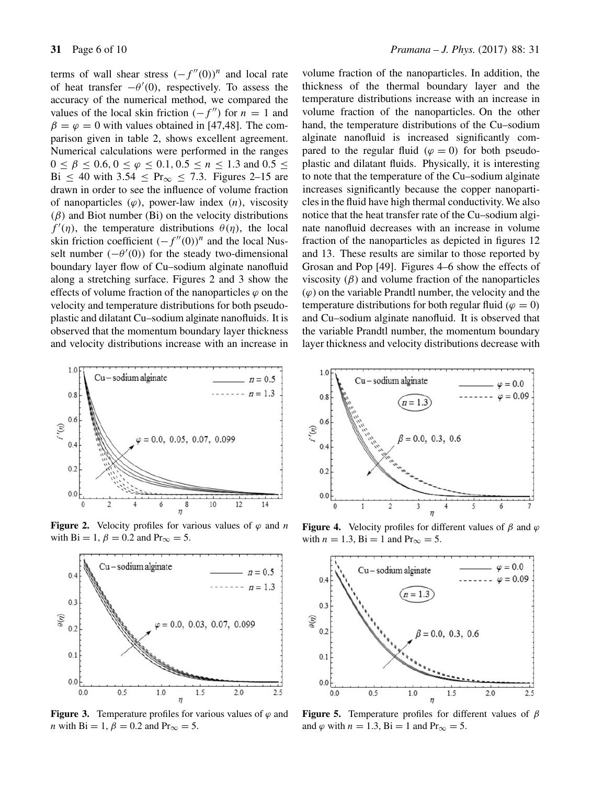terms of wall shear stress  $(-f''(0))^n$  and local rate of heat transfer  $-\theta'(0)$ , respectively. To assess the accuracy of the numerical method, we compared the values of the local skin friction  $(-f'')$  for  $n = 1$  and  $\beta = \varphi = 0$  with values obtained in [47,48]. The comparison given in table 2, shows excellent agreement. Numerical calculations were performed in the ranges  $0 \le \beta \le 0.6, 0 \le \varphi \le 0.1, 0.5 \le n \le 1.3$  and  $0.5 \le$ Bi  $\leq 40$  with 3.54  $\leq$  Pr<sub>∞</sub>  $\leq$  7.3. Figures 2–15 are drawn in order to see the influence of volume fraction of nanoparticles  $(\varphi)$ , power-law index  $(n)$ , viscosity  $(\beta)$  and Biot number (Bi) on the velocity distributions  $f'(\eta)$ , the temperature distributions  $\theta(\eta)$ , the local skin friction coefficient  $(-f''(0))^n$  and the local Nusselt number  $(-\theta'(0))$  for the steady two-dimensional boundary layer flow of Cu–sodium alginate nanofluid along a stretching surface. Figures 2 and 3 show the effects of volume fraction of the nanoparticles  $\varphi$  on the velocity and temperature distributions for both pseudoplastic and dilatant Cu–sodium alginate nanofluids. It is observed that the momentum boundary layer thickness and velocity distributions increase with an increase in



**Figure 2.** Velocity profiles for various values of  $\varphi$  and *n* with Bi = 1,  $\beta$  = 0.2 and Pr<sub>∞</sub> = 5.



**Figure 3.** Temperature profiles for various values of  $\varphi$  and *n* with Bi = 1,  $\beta$  = 0.2 and Pr<sub>∞</sub> = 5.

volume fraction of the nanoparticles. In addition, the thickness of the thermal boundary layer and the temperature distributions increase with an increase in volume fraction of the nanoparticles. On the other hand, the temperature distributions of the Cu–sodium alginate nanofluid is increased significantly compared to the regular fluid ( $\varphi = 0$ ) for both pseudoplastic and dilatant fluids. Physically, it is interesting to note that the temperature of the Cu–sodium alginate increases significantly because the copper nanoparticles in the fluid have high thermal conductivity. We also notice that the heat transfer rate of the Cu–sodium alginate nanofluid decreases with an increase in volume fraction of the nanoparticles as depicted in figures 12 and 13. These results are similar to those reported by Grosan and Pop [49]. Figures 4–6 show the effects of viscosity  $(\beta)$  and volume fraction of the nanoparticles  $(\varphi)$  on the variable Prandtl number, the velocity and the temperature distributions for both regular fluid ( $\varphi = 0$ ) and Cu–sodium alginate nanofluid. It is observed that the variable Prandtl number, the momentum boundary layer thickness and velocity distributions decrease with



**Figure 4.** Velocity profiles for different values of  $\beta$  and  $\varphi$ with  $n = 1.3$ ,  $\text{Bi} = 1$  and  $\text{Pr}_{\infty} = 5$ .



**Figure 5.** Temperature profiles for different values of  $\beta$ and  $\varphi$  with  $n = 1.3$ , Bi = 1 and Pr<sub>∞</sub> = 5.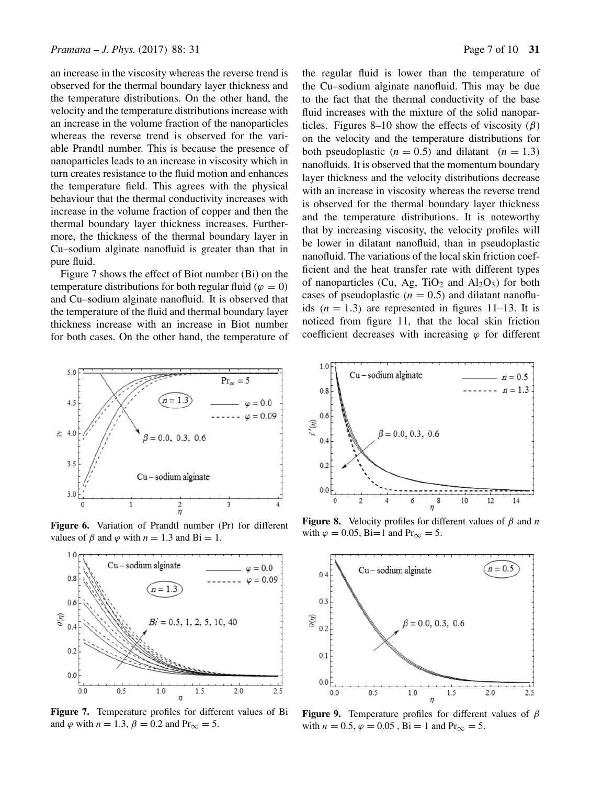an increase in the viscosity whereas the reverse trend is observed for the thermal boundary layer thickness and the temperature distributions. On the other hand, the velocity and the temperature distributions increase with an increase in the volume fraction of the nanoparticles whereas the reverse trend is observed for the variable Prandtl number. This is because the presence of nanoparticles leads to an increase in viscosity which in turn creates resistance to the fluid motion and enhances the temperature field. This agrees with the physical behaviour that the thermal conductivity increases with increase in the volume fraction of copper and then the thermal boundary layer thickness increases. Furthermore, the thickness of the thermal boundary layer in Cu–sodium alginate nanofluid is greater than that in pure fluid.

Figure 7 shows the effect of Biot number (Bi) on the temperature distributions for both regular fluid ( $\varphi = 0$ ) and Cu–sodium alginate nanofluid. It is observed that the temperature of the fluid and thermal boundary layer thickness increase with an increase in Biot number for both cases. On the other hand, the temperature of



Figure 6. Variation of Prandtl number (Pr) for different values of  $\beta$  and  $\varphi$  with  $n = 1.3$  and Bi = 1.



**Figure 7.** Temperature profiles for different values of Bi and  $\varphi$  with  $n = 1.3$ ,  $\beta = 0.2$  and Pr<sub>∞</sub> = 5.

the regular fluid is lower than the temperature of the Cu–sodium alginate nanofluid. This may be due to the fact that the thermal conductivity of the base fluid increases with the mixture of the solid nanoparticles. Figures 8–10 show the effects of viscosity  $(\beta)$ on the velocity and the temperature distributions for both pseudoplastic ( $n = 0.5$ ) and dilatant ( $n = 1.3$ ) nanofluids. It is observed that the momentum boundary layer thickness and the velocity distributions decrease with an increase in viscosity whereas the reverse trend is observed for the thermal boundary layer thickness and the temperature distributions. It is noteworthy that by increasing viscosity, the velocity profiles will be lower in dilatant nanofluid, than in pseudoplastic nanofluid. The variations of the local skin friction coefficient and the heat transfer rate with different types of nanoparticles (Cu, Ag, TiO<sub>2</sub> and  $Al_2O_3$ ) for both cases of pseudoplastic  $(n = 0.5)$  and dilatant nanofluids  $(n = 1.3)$  are represented in figures 11–13. It is noticed from figure 11, that the local skin friction coefficient decreases with increasing  $\varphi$  for different



**Figure 8.** Velocity profiles for different values of  $\beta$  and n with  $\varphi = 0.05$ , Bi=1 and Pr<sub>∞</sub> = 5.



**Figure 9.** Temperature profiles for different values of  $\beta$ with  $n = 0.5$ ,  $\varphi = 0.05$ ,  $\text{Bi} = 1$  and  $\text{Pr}_{\infty} = 5$ .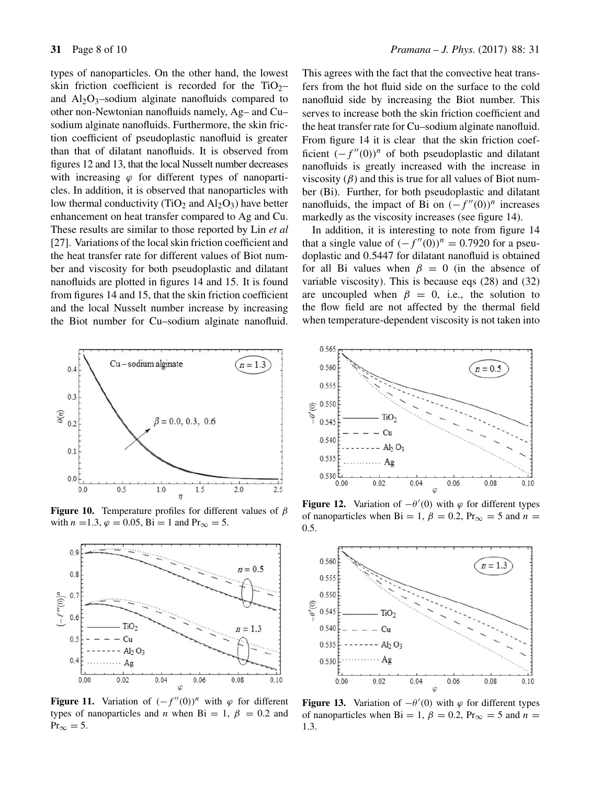types of nanoparticles. On the other hand, the lowest skin friction coefficient is recorded for the  $TiO<sub>2</sub>$ and  $Al_2O_3$ -sodium alginate nanofluids compared to other non-Newtonian nanofluids namely, Ag– and Cu– sodium alginate nanofluids. Furthermore, the skin friction coefficient of pseudoplastic nanofluid is greater than that of dilatant nanofluids. It is observed from figures 12 and 13, that the local Nusselt number decreases with increasing  $\varphi$  for different types of nanoparticles. In addition, it is observed that nanoparticles with low thermal conductivity (TiO<sub>2</sub> and  $Al_2O_3$ ) have better enhancement on heat transfer compared to Ag and Cu. These results are similar to those reported by Lin *et al* [27]. Variations of the local skin friction coefficient and the heat transfer rate for different values of Biot number and viscosity for both pseudoplastic and dilatant nanofluids are plotted in figures 14 and 15. It is found from figures 14 and 15, that the skin friction coefficient and the local Nusselt number increase by increasing the Biot number for Cu–sodium alginate nanofluid.



**Figure 10.** Temperature profiles for different values of  $\beta$ with  $n = 1.3$ ,  $\varphi = 0.05$ ,  $\text{Bi} = 1$  and  $\text{Pr}_{\infty} = 5$ .



**Figure 11.** Variation of  $(-f''(0))^n$  with  $\varphi$  for different types of nanoparticles and *n* when Bi = 1,  $\beta$  = 0.2 and  $Pr_{\infty} = 5.$ 

This agrees with the fact that the convective heat transfers from the hot fluid side on the surface to the cold nanofluid side by increasing the Biot number. This serves to increase both the skin friction coefficient and the heat transfer rate for Cu–sodium alginate nanofluid. From figure 14 it is clear that the skin friction coefficient  $(-f''(0))^n$  of both pseudoplastic and dilatant nanofluids is greatly increased with the increase in viscosity  $(\beta)$  and this is true for all values of Biot number (Bi). Further, for both pseudoplastic and dilatant nanofluids, the impact of Bi on  $(-f''(0))^n$  increases markedly as the viscosity increases (see figure 14).

In addition, it is interesting to note from figure 14 that a single value of  $(-f''(0))^n = 0.7920$  for a pseudoplastic and 0.5447 for dilatant nanofluid is obtained for all Bi values when  $\beta = 0$  (in the absence of variable viscosity). This is because eqs (28) and (32) are uncoupled when  $\beta = 0$ , i.e., the solution to the flow field are not affected by the thermal field when temperature-dependent viscosity is not taken into



**Figure 12.** Variation of  $-\theta'(0)$  with  $\varphi$  for different types of nanoparticles when Bi = 1,  $\beta$  = 0.2, Pr<sub>∞</sub> = 5 and *n* = 0.5.



**Figure 13.** Variation of  $-\theta'(0)$  with  $\varphi$  for different types of nanoparticles when Bi = 1,  $\beta$  = 0.2, Pr<sub>∞</sub> = 5 and *n* = 1.3.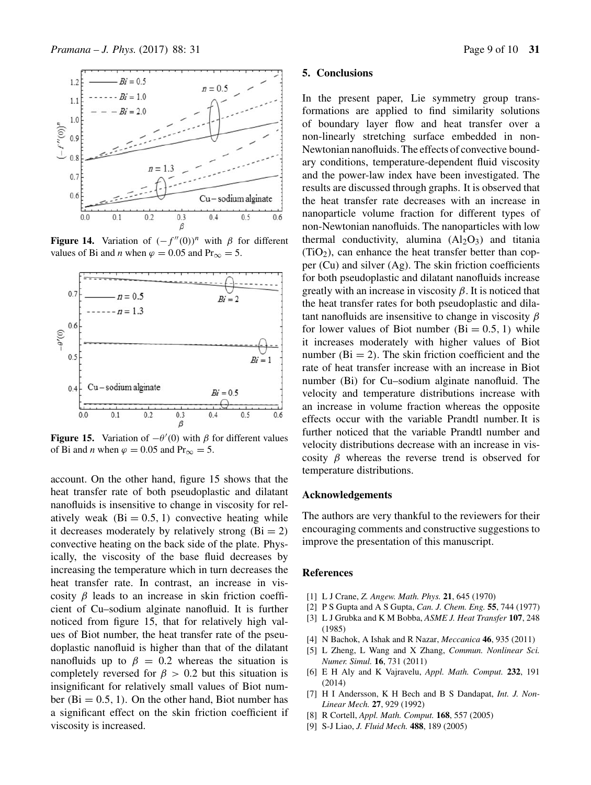

**Figure 14.** Variation of  $(-f''(0))^n$  with  $\beta$  for different values of Bi and *n* when  $\varphi = 0.05$  and Pr<sub>∞</sub> = 5.



**Figure 15.** Variation of  $-\theta'(0)$  with  $\beta$  for different values of Bi and *n* when  $\varphi = 0.05$  and Pr<sub>∞</sub> = 5.

account. On the other hand, figure 15 shows that the heat transfer rate of both pseudoplastic and dilatant nanofluids is insensitive to change in viscosity for relatively weak  $(Bi = 0.5, 1)$  convective heating while it decreases moderately by relatively strong  $(Bi = 2)$ convective heating on the back side of the plate. Physically, the viscosity of the base fluid decreases by increasing the temperature which in turn decreases the heat transfer rate. In contrast, an increase in viscosity  $\beta$  leads to an increase in skin friction coefficient of Cu–sodium alginate nanofluid. It is further noticed from figure 15, that for relatively high values of Biot number, the heat transfer rate of the pseudoplastic nanofluid is higher than that of the dilatant nanofluids up to  $\beta = 0.2$  whereas the situation is completely reversed for  $\beta > 0.2$  but this situation is insignificant for relatively small values of Biot number ( $Bi = 0.5, 1$ ). On the other hand, Biot number has a significant effect on the skin friction coefficient if viscosity is increased.

#### **5. Conclusions**

In the present paper, Lie symmetry group transformations are applied to find similarity solutions of boundary layer flow and heat transfer over a non-linearly stretching surface embedded in non-Newtonian nanofluids. The effects of convective boundary conditions, temperature-dependent fluid viscosity and the power-law index have been investigated. The results are discussed through graphs. It is observed that the heat transfer rate decreases with an increase in nanoparticle volume fraction for different types of non-Newtonian nanofluids. The nanoparticles with low thermal conductivity, alumina  $(AI_2O_3)$  and titania  $(TiO<sub>2</sub>)$ , can enhance the heat transfer better than copper (Cu) and silver (Ag). The skin friction coefficients for both pseudoplastic and dilatant nanofluids increase greatly with an increase in viscosity  $\beta$ . It is noticed that the heat transfer rates for both pseudoplastic and dilatant nanofluids are insensitive to change in viscosity  $\beta$ for lower values of Biot number  $(Bi = 0.5, 1)$  while it increases moderately with higher values of Biot number  $(Bi = 2)$ . The skin friction coefficient and the rate of heat transfer increase with an increase in Biot number (Bi) for Cu–sodium alginate nanofluid. The velocity and temperature distributions increase with an increase in volume fraction whereas the opposite effects occur with the variable Prandtl number. It is further noticed that the variable Prandtl number and velocity distributions decrease with an increase in viscosity  $\beta$  whereas the reverse trend is observed for temperature distributions.

#### **Acknowledgements**

The authors are very thankful to the reviewers for their encouraging comments and constructive suggestions to improve the presentation of this manuscript.

# **References**

- [1] L J Crane, *Z. Angew. Math. Phys.* **21**, 645 (1970)
- [2] P S Gupta and A S Gupta, *Can. J. Chem. Eng.* **55**, 744 (1977)
- [3] L J Grubka and K M Bobba, *ASME J. Heat Transfer* **107**, 248 (1985)
- [4] N Bachok, A Ishak and R Nazar, *Meccanica* **46**, 935 (2011)
- [5] L Zheng, L Wang and X Zhang, *Commun. Nonlinear Sci. Numer. Simul.* **16**, 731 (2011)
- [6] E H Aly and K Vajravelu, *Appl. Math. Comput.* **232**, 191 (2014)
- [7] H I Andersson, K H Bech and B S Dandapat, *Int. J. Non-Linear Mech.* **27**, 929 (1992)
- [8] R Cortell, *Appl. Math. Comput.* **168**, 557 (2005)
- [9] S-J Liao, *J. Fluid Mech.* **488**, 189 (2005)